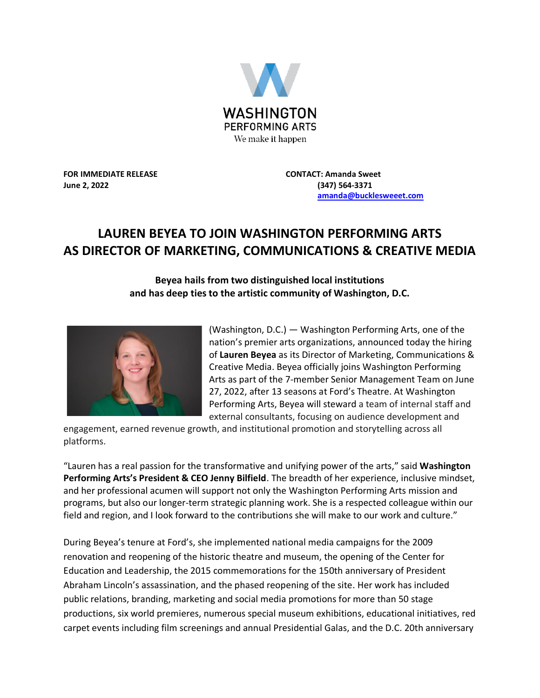

**FOR IMMEDIATE RELEASE CONTACT: Amanda Sweet June 2, 2022 (347) 564-3371**

 **[amanda@bucklesweeet.com](mailto:amanda@bucklesweeet.com)**

## **LAUREN BEYEA TO JOIN WASHINGTON PERFORMING ARTS AS DIRECTOR OF MARKETING, COMMUNICATIONS & CREATIVE MEDIA**

**Beyea hails from two distinguished local institutions and has deep ties to the artistic community of Washington, D.C.**



(Washington, D.C.) — Washington Performing Arts, one of the nation's premier arts organizations, announced today the hiring of **Lauren Beyea** as its Director of Marketing, Communications & Creative Media. Beyea officially joins Washington Performing Arts as part of the 7-member Senior Management Team on June 27, 2022, after 13 seasons at Ford's Theatre. At Washington Performing Arts, Beyea will steward a team of internal staff and external consultants, focusing on audience development and

engagement, earned revenue growth, and institutional promotion and storytelling across all platforms.

"Lauren has a real passion for the transformative and unifying power of the arts," said **Washington Performing Arts's President & CEO Jenny Bilfield**. The breadth of her experience, inclusive mindset, and her professional acumen will support not only the Washington Performing Arts mission and programs, but also our longer-term strategic planning work. She is a respected colleague within our field and region, and I look forward to the contributions she will make to our work and culture."

During Beyea's tenure at Ford's, she implemented national media campaigns for the 2009 renovation and reopening of the historic theatre and museum, the opening of the Center for Education and Leadership, the 2015 commemorations for the 150th anniversary of President Abraham Lincoln's assassination, and the phased reopening of the site. Her work has included public relations, branding, marketing and social media promotions for more than 50 stage productions, six world premieres, numerous special museum exhibitions, educational initiatives, red carpet events including film screenings and annual Presidential Galas, and the D.C. 20th anniversary